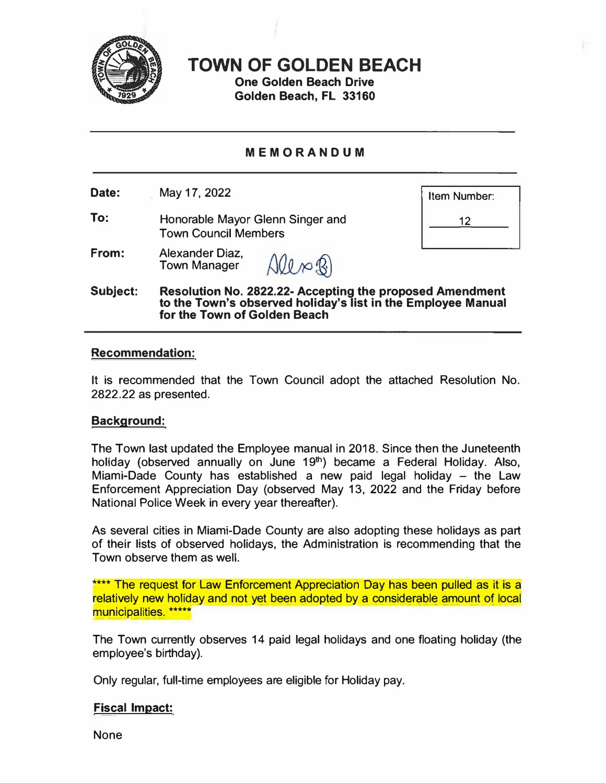

**TOWN OF GOLDEN BEACH** 

**One Golden Beach Drive Golden Beach, FL 33160** 

# **MEMORANDUM**

**Date:**  May 17, 2022

**To:**  Honorable Mayor Glenn Singer and Town Council Members

Item Number:

12

**From:**  Alexander Diaz, Alln B) Town Manager

**Subject: Resolution No. 2822.22-Accepting the proposed Amendment to the Town's observed holiday's list in the Employee Manual for the Town of Golden Beach** 

### **Recommendation:**

It is recommended that the Town Council adopt the attached Resolution No. 2822.22 as presented.

### **Background:**

The Town last updated the Employee manual in 2018. Since then the Juneteenth holiday (observed annually on June 19<sup>th</sup>) became a Federal Holiday. Also, Miami-Dade County has established a new paid legal holiday – the Law Enforcement Appreciation Day (observed May 13, 2022 and the Friday before National Police Week in every year thereafter).

As several cities in Miami-Dade County are also adopting these holidays as part of their lists of observed holidays, the Administration is recommending that the Town observe them as well.

\*\*\*\* The request for Law Enforcement Appreciation Day has been pulled as it is a relatively new holiday and not yet been adopted by a considerable amount of local municipalities. \*\*\*\*\*

The Town currently observes 14 paid legal holidays and one floating holiday (the employee's birthday).

Only regular, full-time employees are eligible for Holiday pay.

## **Fiscal Impact:**

None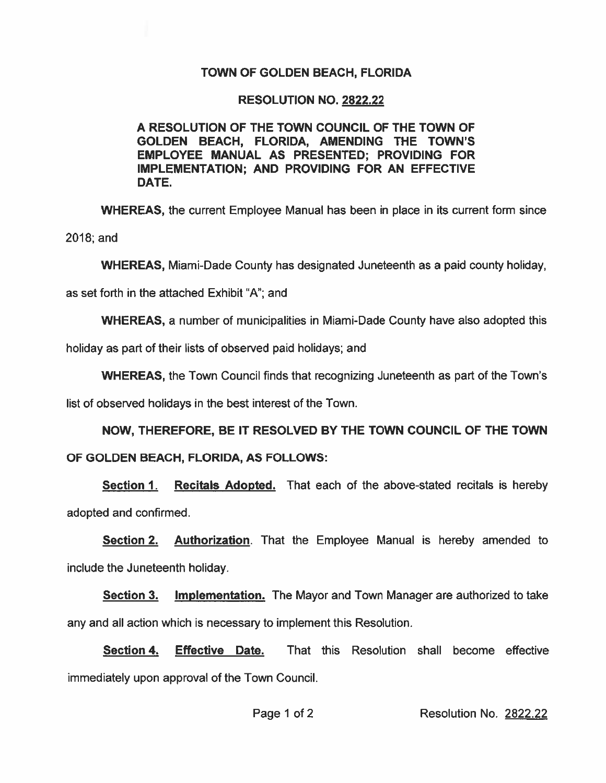# **TOWN OF GOLDEN BEACH, FLORIDA**

## **RESOLUTION NO. 2822.22**

## A RESOLUTION OF THE TOWN COUNCIL OF THE TOWN OF GOLDEN BEACH, FLORIDA, AMENDING THE TOWN'S EMPLOYEE MANUAL AS PRESENTED: PROVIDING FOR IMPLEMENTATION; AND PROVIDING FOR AN EFFECTIVE DATE.

**WHEREAS, the current Employee Manual has been in place in its current form since** 

 $2018$ ; and

**WHEREAS, Miami-Dade County has designated Juneteenth as a paid county holiday,** 

as set forth in the attached Exhibit "A"; and

**WHEREAS, a number of municipalities in Miami-Dade County have also adopted this** 

holiday as part of their lists of observed paid holidays; and

**WHEREAS, the Town Council finds that recognizing Juneteenth as part of the Town's** 

list of observed holidays in the best interest of the Town.

NOW. THEREFORE. BE IT RESOLVED BY THE TOWN COUNCIL OF THE TOWN OF GOLDEN BEACH, FLORIDA, AS FOLLOWS:

Recitals Adopted. That each of the above-stated recitals is hereby **Section 1.** adopted and confirmed.

Section 2. Authorization. That the Employee Manual is hereby amended to include the Juneteenth holiday.

**Section 3. Implementation.** The Mayor and Town Manager are authorized to take any and all action which is necessary to implement this Resolution.

**Section 4. Effective Date.** That this Resolution shall become effective immediately upon approval of the Town Council.